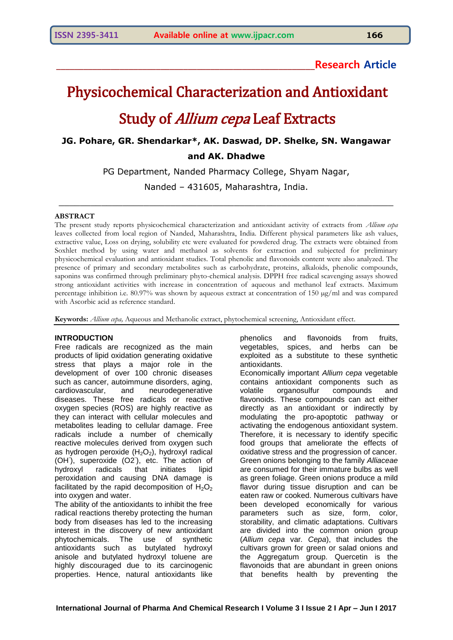# **\_\_\_\_\_\_\_\_\_\_\_\_\_\_\_\_\_\_\_\_\_\_\_\_\_\_\_\_\_\_\_\_\_\_\_\_\_\_\_\_\_\_\_\_\_\_\_\_\_\_\_\_\_\_\_\_\_Research Article**

# Physicochemical Characterization and Antioxidant

# Study of *Allium cepa* Leaf Extracts

**JG. Pohare, GR. Shendarkar\*, AK. Daswad, DP. Shelke, SN. Wangawar and AK. Dhadwe**

PG Department, Nanded Pharmacy College, Shyam Nagar,

Nanded – 431605, Maharashtra, India.

\_\_\_\_\_\_\_\_\_\_\_\_\_\_\_\_\_\_\_\_\_\_\_\_\_\_\_\_\_\_\_\_\_\_\_\_\_\_\_\_\_\_\_\_\_\_\_\_\_\_\_\_\_\_\_\_\_\_\_\_\_\_\_

# **ABSTRACT**

The present study reports physicochemical characterization and antioxidant activity of extracts from *Allium cepa* leaves collected from local region of Nanded, Maharashtra, India. Different physical parameters like ash values, extractive value, Loss on drying, solubility etc were evaluated for powdered drug. The extracts were obtained from Soxhlet method by using water and methanol as solvents for extraction and subjected for preliminary physicochemical evaluation and antioxidant studies. Total phenolic and flavonoids content were also analyzed. The presence of primary and secondary metabolites such as carbohydrate, proteins, alkaloids, phenolic compounds, saponins was confirmed through preliminary phyto-chemical analysis. DPPH free radical scavenging assays showed strong antioxidant activities with increase in concentration of aqueous and methanol leaf extracts. Maximum percentage inhibition i.e. 80.97% was shown by aqueous extract at concentration of 150 µg/ml and was compared with Ascorbic acid as reference standard.

**Keywords:** *Allium cepa,* Aqueous and Methanolic extract, phytochemical screening, Antioxidant effect.

# **INTRODUCTION**

Free radicals are recognized as the main products of lipid oxidation generating oxidative stress that plays a major role in the development of over 100 chronic diseases such as cancer, autoimmune disorders, aging, cardiovascular, and neurodegenerative diseases. These free radicals or reactive oxygen species (ROS) are highly reactive as they can interact with cellular molecules and metabolites leading to cellular damage. Free radicals include a number of chemically reactive molecules derived from oxygen such as hydrogen peroxide  $(H<sub>2</sub>O<sub>2</sub>)$ , hydroxyl radical (OH<sup>-</sup>), superoxide (O2<sup>-</sup>), etc. The action of hydroxyl radicals that initiates lipid peroxidation and causing DNA damage is facilitated by the rapid decomposition of  $H_2O_2$ into oxygen and water.

The ability of the antioxidants to inhibit the free radical reactions thereby protecting the human body from diseases has led to the increasing interest in the discovery of new antioxidant phytochemicals. The use of synthetic antioxidants such as butylated hydroxyl anisole and butylated hydroxyl toluene are highly discouraged due to its carcinogenic properties. Hence, natural antioxidants like

phenolics and flavonoids from fruits, vegetables, spices, and herbs can be exploited as a substitute to these synthetic antioxidants.

Economically important *Allium cepa* vegetable contains antioxidant components such as volatile organosulfur compounds and flavonoids. These compounds can act either directly as an antioxidant or indirectly by modulating the pro-apoptotic pathway or activating the endogenous antioxidant system. Therefore, it is necessary to identify specific food groups that ameliorate the effects of oxidative stress and the progression of cancer. Green onions belonging to the family *Alliaceae* are consumed for their immature bulbs as well as green foliage. Green onions produce a mild flavor during tissue disruption and can be eaten raw or cooked. Numerous cultivars have been developed economically for various parameters such as size, form, color, storability, and climatic adaptations. Cultivars are divided into the common onion group (*Allium cepa* var*. Cepa*), that includes the cultivars grown for green or salad onions and the Aggregatum group. Quercetin is the flavonoids that are abundant in green onions that benefits health by preventing the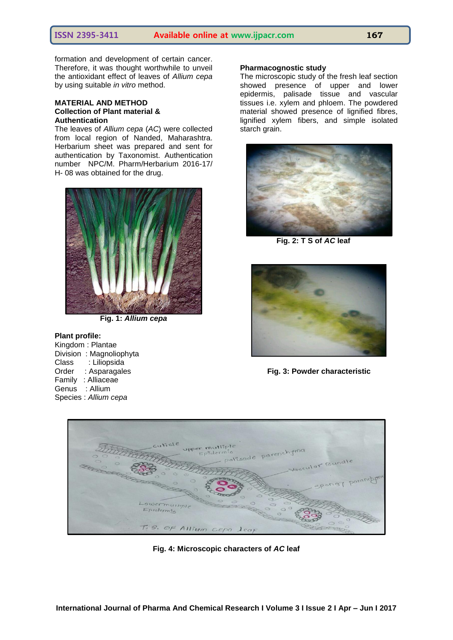formation and development of certain cancer. Therefore, it was thought worthwhile to unveil the antioxidant effect of leaves of *Allium cepa* by using suitable *in vitro* method.

### **MATERIAL AND METHOD Collection of Plant material & Authentication**

The leaves of *Allium cepa* (*AC*) were collected from local region of Nanded, Maharashtra. Herbarium sheet was prepared and sent for authentication by Taxonomist. Authentication number NPC/M. Pharm/Herbarium 2016-17/ H- 08 was obtained for the drug.



**Fig. 1:** *Allium cepa*

#### **Plant profile:**

Kingdom : Plantae Division : Magnoliophyta Class : Liliopsida Order : Asparagales Family : Alliaceae Genus : Allium Species : *Allium cepa*

### **Pharmacognostic study**

The microscopic study of the fresh leaf section showed presence of upper and lower epidermis, palisade tissue and vascular tissues i.e. xylem and phloem. The powdered material showed presence of lignified fibres, lignified xylem fibers, and simple isolated starch grain.



 **Fig. 2: T S of** *AC* **leaf** 



**Fig. 3: Powder characteristic**



**Fig. 4: Microscopic characters of** *AC* **leaf**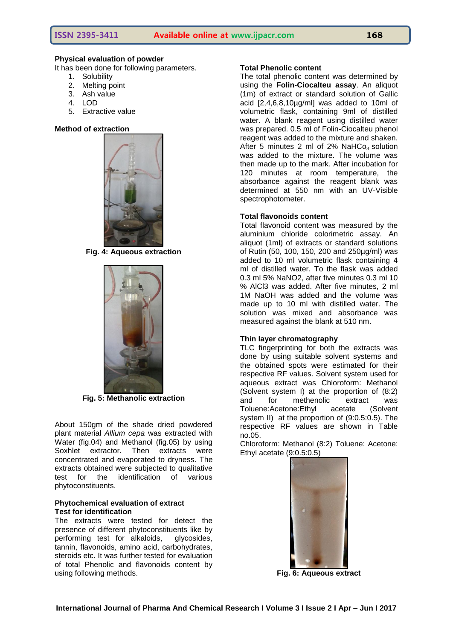# **Physical evaluation of powder**

It has been done for following parameters.

- 1. Solubility
- 2. Melting point
- 3. Ash value
- 4. LOD
- 5. Extractive value

#### **Method of extraction**



**Fig. 4: Aqueous extraction**



**Fig. 5: Methanolic extraction**

About 150gm of the shade dried powdered plant material *Allium cepa* was extracted with Water (fig.04) and Methanol (fig.05) by using Soxhlet extractor. Then extracts were concentrated and evaporated to dryness. The extracts obtained were subjected to qualitative test for the identification of various phytoconstituents.

# **Phytochemical evaluation of extract Test for identification**

The extracts were tested for detect the presence of different phytoconstituents like by<br>performing test for alkaloids, alveosides. performing test for alkaloids, tannin, flavonoids, amino acid, carbohydrates, steroids etc. It was further tested for evaluation of total Phenolic and flavonoids content by using following methods.

#### **Total Phenolic content**

The total phenolic content was determined by using the **Folin-Ciocalteu assay**. An aliquot (1m) of extract or standard solution of Gallic acid [2,4,6,8,10µg/ml] was added to 10ml of volumetric flask, containing 9ml of distilled water. A blank reagent using distilled water was prepared. 0.5 ml of Folin-Ciocalteu phenol reagent was added to the mixture and shaken. After 5 minutes 2 ml of  $2\%$  NaHCo<sub>3</sub> solution was added to the mixture. The volume was then made up to the mark. After incubation for 120 minutes at room temperature, the absorbance against the reagent blank was determined at 550 nm with an UV-Visible spectrophotometer.

# **Total flavonoids content**

Total flavonoid content was measured by the aluminium chloride colorimetric assay. An aliquot (1ml) of extracts or standard solutions of Rutin (50, 100, 150, 200 and 250µg/ml) was added to 10 ml volumetric flask containing 4 ml of distilled water. To the flask was added 0.3 ml 5% NaNO2, after five minutes 0.3 ml 10 % AlCl3 was added. After five minutes, 2 ml 1M NaOH was added and the volume was made up to 10 ml with distilled water. The solution was mixed and absorbance was measured against the blank at 510 nm.

# **Thin layer chromatography**

TLC fingerprinting for both the extracts was done by using suitable solvent systems and the obtained spots were estimated for their respective RF values. Solvent system used for aqueous extract was Chloroform: Methanol (Solvent system I) at the proportion of (8:2) and for methenolic extract was Toluene:Acetone:Ethyl acetate (Solvent system II) at the proportion of (9:0.5:0.5). The respective RF values are shown in Table no.05.

Chloroform: Methanol (8:2) Toluene: Acetone: Ethyl acetate (9:0.5:0.5)



**Fig. 6: Aqueous extract**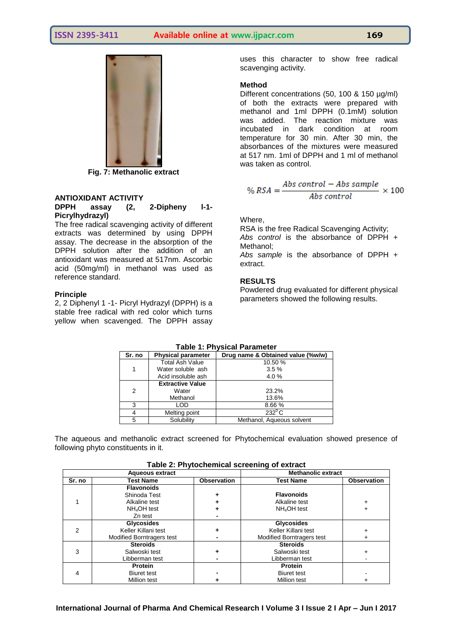

**Fig. 7: Methanolic extract**

# **ANTIOXIDANT ACTIVITY**

# **DPPH assay (2, 2-Dipheny l-1- Picrylhydrazyl)**

The free radical scavenging activity of different extracts was determined by using DPPH assay. The decrease in the absorption of the DPPH solution after the addition of an antioxidant was measured at 517nm. Ascorbic acid (50mg/ml) in methanol was used as reference standard.

### **Principle**

2, 2 Diphenyl 1 -1- Picryl Hydrazyl (DPPH) is a stable free radical with red color which turns yellow when scavenged. The DPPH assay

uses this character to show free radical scavenging activity.

### **Method**

Different concentrations (50, 100 & 150 µg/ml) of both the extracts were prepared with methanol and 1ml DPPH (0.1mM) solution was added. The reaction mixture was incubated in dark condition at room temperature for 30 min. After 30 min, the absorbances of the mixtures were measured at 517 nm. 1ml of DPPH and 1 ml of methanol was taken as control.

$$
\% RSA = \frac{Abs\ control - Abs\ sample}{Abs\ control} \times 100
$$

### Where,

RSA is the free Radical Scavenging Activity; *Abs control* is the absorbance of DPPH + Methanol;

*Abs sample* is the absorbance of DPPH + extract.

# **RESULTS**

Powdered drug evaluated for different physical parameters showed the following results.

| $1$ avic $1$ . I Hysical I alameter |                         |                                   |  |  |
|-------------------------------------|-------------------------|-----------------------------------|--|--|
| Sr. no<br><b>Physical parameter</b> |                         | Drug name & Obtained value (%w/w) |  |  |
|                                     | <b>Total Ash Value</b>  | 10.50 %                           |  |  |
|                                     | Water soluble ash       | 3.5%                              |  |  |
|                                     | Acid insoluble ash      | 4.0%                              |  |  |
|                                     | <b>Extractive Value</b> |                                   |  |  |
| 2                                   | Water                   | 23.2%                             |  |  |
|                                     | Methanol                | 13.6%                             |  |  |
| 3                                   | LOD                     | 8.66 %                            |  |  |
|                                     | Melting point           | $232^{\circ}$ C                   |  |  |
| 5.                                  | Solubility              | Methanol, Aqueous solvent         |  |  |
|                                     |                         |                                   |  |  |

# **Table 1: Physical Parameter**

The aqueous and methanolic extract screened for Phytochemical evaluation showed presence of following phyto constituents in it.

|                        |                           |                    | rable 2. I hytochemical screening or extract |                    |  |
|------------------------|---------------------------|--------------------|----------------------------------------------|--------------------|--|
| <b>Aqueous extract</b> |                           |                    | <b>Methanolic extract</b>                    |                    |  |
| Sr. no                 | Test Name                 | <b>Observation</b> | <b>Test Name</b>                             | <b>Observation</b> |  |
|                        | <b>Flavonoids</b>         |                    |                                              |                    |  |
|                        | Shinoda Test              |                    | <b>Flavonoids</b>                            |                    |  |
|                        | Alkaline test             |                    | Alkaline test                                |                    |  |
|                        | NH <sub>4</sub> OH test   |                    | NH <sub>4</sub> OH test                      |                    |  |
|                        | Zn test                   |                    |                                              |                    |  |
|                        | <b>Glycosides</b>         |                    | <b>Glycosides</b>                            |                    |  |
| 2                      | Keller Killani test       |                    | Keller Killani test                          |                    |  |
|                        | Modified Borntragers test |                    | <b>Modified Borntragers test</b>             |                    |  |
|                        | <b>Steroids</b>           |                    | <b>Steroids</b>                              |                    |  |
| 3                      | Salwoski test             |                    | Salwoski test                                |                    |  |
|                        | Libberman test            |                    | Libberman test                               |                    |  |
|                        | <b>Protein</b>            |                    | <b>Protein</b>                               |                    |  |
| 4                      | <b>Biuret test</b>        |                    | <b>Biuret test</b>                           |                    |  |
|                        | Million test              |                    | <b>Million test</b>                          |                    |  |

**Table 2: Phytochemical screening of extract**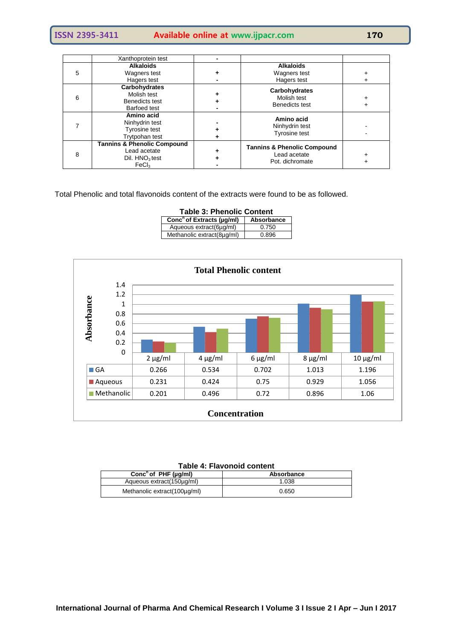**ISSN 2395-3411 Available online at www.ijpacr.com 170**

|   | Xanthoprotein test                     |                                        |  |
|---|----------------------------------------|----------------------------------------|--|
|   | <b>Alkaloids</b>                       | <b>Alkaloids</b>                       |  |
| 5 | Wagners test                           | Wagners test                           |  |
|   | Hagers test                            | Hagers test                            |  |
|   | Carbohydrates                          | Carbohydrates                          |  |
| 6 | Molish test                            | Molish test                            |  |
|   | Benedicts test                         | Benedicts test                         |  |
|   | Barfoed test                           |                                        |  |
|   | Amino acid                             | Amino acid                             |  |
|   | Ninhydrin test                         | Ninhydrin test                         |  |
|   | <b>Tyrosine test</b>                   | <b>Tyrosine test</b>                   |  |
|   | Trytpohan test                         |                                        |  |
|   | <b>Tannins &amp; Phenolic Compound</b> | <b>Tannins &amp; Phenolic Compound</b> |  |
| 8 | Lead acetate                           | Lead acetate                           |  |
|   | Dil. HNO <sub>3</sub> test             | Pot. dichromate                        |  |
|   | FeCl <sub>3</sub>                      |                                        |  |

Total Phenolic and total flavonoids content of the extracts were found to be as followed.

| <b>Table 3: Phenolic Content</b> |  |  |  |  |
|----------------------------------|--|--|--|--|
| Absorbance                       |  |  |  |  |
| 0.750                            |  |  |  |  |
| 0.896                            |  |  |  |  |
|                                  |  |  |  |  |



| $1900 - 7.1191$                        |            |  |  |
|----------------------------------------|------------|--|--|
| Conc <sup>n</sup> of PHF ( $\mu$ g/ml) | Absorbance |  |  |
| Aqueous extract(150µg/ml)              | 1.038      |  |  |
| Methanolic extract(100µg/ml)           | 0.650      |  |  |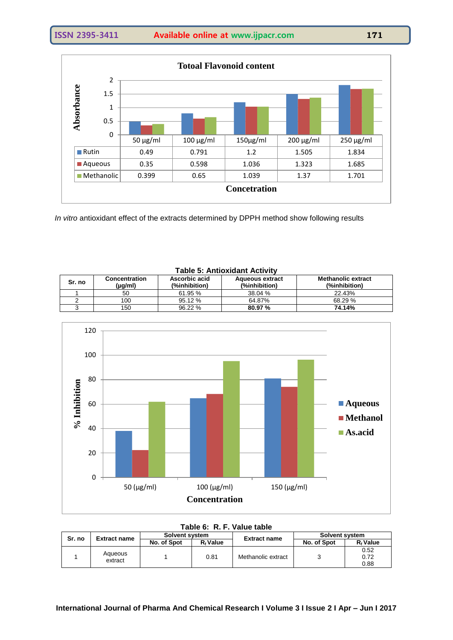

*In vitro* antioxidant effect of the extracts determined by DPPH method show following results

| Sr. no | <b>Concentration</b><br>(µg/ml) | Ascorbic acid<br>(%inhibition) | <b>Aqueous extract</b><br>(%inhibition) | <b>Methanolic extract</b><br>(%inhibition) |
|--------|---------------------------------|--------------------------------|-----------------------------------------|--------------------------------------------|
|        | 50                              | 61.95%                         | 38.04 %                                 | 22.43%                                     |
|        | 100                             | 95.12%                         | 64.87%                                  | 68.29 %                                    |
|        | 150                             | 96.22%                         | 80.97 %                                 | 74.14%                                     |
|        |                                 |                                |                                         |                                            |





# **Table 6: R. F. Value table**

| Sr. no | <b>Extract name</b> | Solvent system |                      | <b>Extract name</b> | Solvent system |                      |
|--------|---------------------|----------------|----------------------|---------------------|----------------|----------------------|
|        |                     | No. of Spot    | R <sub>f</sub> Value |                     | No. of Spot    | $R_f$ Value          |
|        | Aqueous<br>extract  |                | 0.81                 | Methanolic extract  |                | 0.52<br>0.72<br>0.88 |